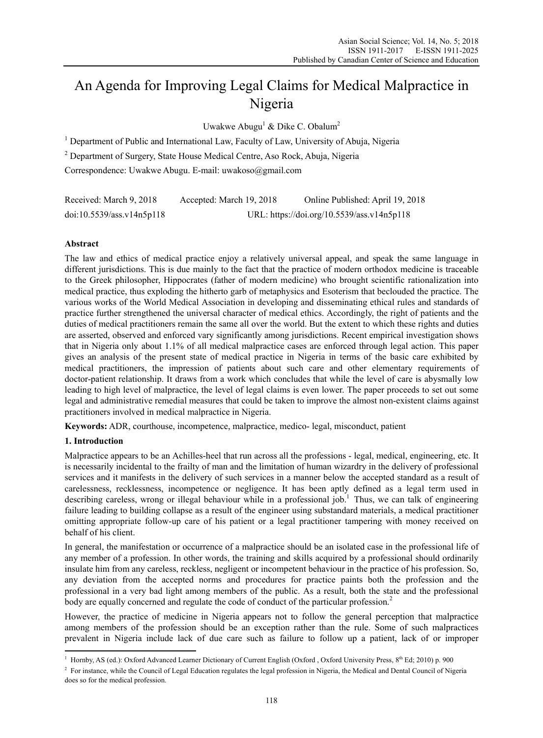# An Agenda for Improving Legal Claims for Medical Malpractice in Nigeria

Uwakwe Abugu<sup>1</sup> & Dike C. Obalum<sup>2</sup>

<sup>1</sup> Department of Public and International Law, Faculty of Law, University of Abuja, Nigeria

2 Department of Surgery, State House Medical Centre, Aso Rock, Abuja, Nigeria

Correspondence: Uwakwe Abugu. E-mail: uwakoso@gmail.com

| Received: March 9, 2018   | Accepted: March 19, 2018                   | Online Published: April 19, 2018 |
|---------------------------|--------------------------------------------|----------------------------------|
| doi:10.5539/ass.v14n5p118 | URL: https://doi.org/10.5539/ass.v14n5p118 |                                  |

# **Abstract**

The law and ethics of medical practice enjoy a relatively universal appeal, and speak the same language in different jurisdictions. This is due mainly to the fact that the practice of modern orthodox medicine is traceable to the Greek philosopher, Hippocrates (father of modern medicine) who brought scientific rationalization into medical practice, thus exploding the hitherto garb of metaphysics and Esoterism that beclouded the practice. The various works of the World Medical Association in developing and disseminating ethical rules and standards of practice further strengthened the universal character of medical ethics. Accordingly, the right of patients and the duties of medical practitioners remain the same all over the world. But the extent to which these rights and duties are asserted, observed and enforced vary significantly among jurisdictions. Recent empirical investigation shows that in Nigeria only about 1.1% of all medical malpractice cases are enforced through legal action. This paper gives an analysis of the present state of medical practice in Nigeria in terms of the basic care exhibited by medical practitioners, the impression of patients about such care and other elementary requirements of doctor-patient relationship. It draws from a work which concludes that while the level of care is abysmally low leading to high level of malpractice, the level of legal claims is even lower. The paper proceeds to set out some legal and administrative remedial measures that could be taken to improve the almost non-existent claims against practitioners involved in medical malpractice in Nigeria.

**Keywords:** ADR, courthouse, incompetence, malpractice, medico- legal, misconduct, patient

# **1. Introduction**

 $\overline{a}$ 

Malpractice appears to be an Achilles-heel that run across all the professions - legal, medical, engineering, etc. It is necessarily incidental to the frailty of man and the limitation of human wizardry in the delivery of professional services and it manifests in the delivery of such services in a manner below the accepted standard as a result of carelessness, recklessness, incompetence or negligence. It has been aptly defined as a legal term used in describing careless, wrong or illegal behaviour while in a professional job.<sup>1</sup> Thus, we can talk of engineering failure leading to building collapse as a result of the engineer using substandard materials, a medical practitioner omitting appropriate follow-up care of his patient or a legal practitioner tampering with money received on behalf of his client.

In general, the manifestation or occurrence of a malpractice should be an isolated case in the professional life of any member of a profession. In other words, the training and skills acquired by a professional should ordinarily insulate him from any careless, reckless, negligent or incompetent behaviour in the practice of his profession. So, any deviation from the accepted norms and procedures for practice paints both the profession and the professional in a very bad light among members of the public. As a result, both the state and the professional body are equally concerned and regulate the code of conduct of the particular profession.<sup>2</sup>

However, the practice of medicine in Nigeria appears not to follow the general perception that malpractice among members of the profession should be an exception rather than the rule. Some of such malpractices prevalent in Nigeria include lack of due care such as failure to follow up a patient, lack of or improper

<sup>&</sup>lt;sup>1</sup> Hornby, AS (ed.): Oxford Advanced Learner Dictionary of Current English (Oxford , Oxford University Press, 8<sup>th</sup> Ed; 2010) p. 900

<sup>&</sup>lt;sup>2</sup> For instance, while the Council of Legal Education regulates the legal profession in Nigeria, the Medical and Dental Council of Nigeria does so for the medical profession.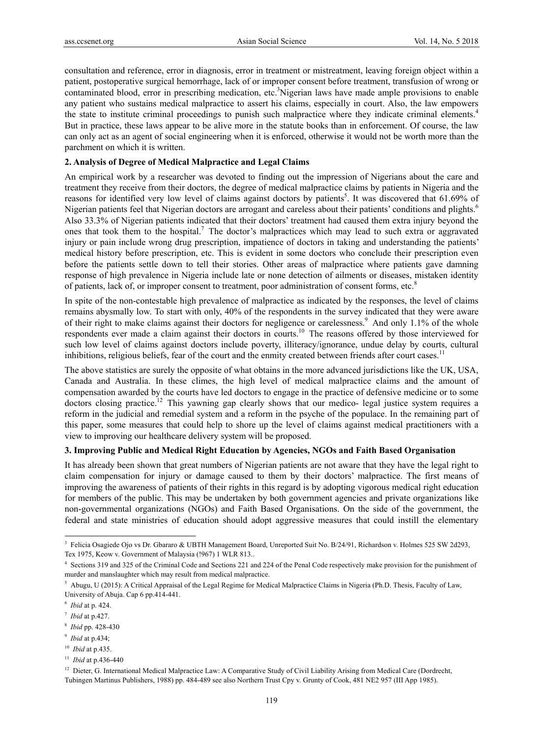consultation and reference, error in diagnosis, error in treatment or mistreatment, leaving foreign object within a patient, postoperative surgical hemorrhage, lack of or improper consent before treatment, transfusion of wrong or contaminated blood, error in prescribing medication, etc.<sup>3</sup>Nigerian laws have made ample provisions to enable any patient who sustains medical malpractice to assert his claims, especially in court. Also, the law empowers the state to institute criminal proceedings to punish such malpractice where they indicate criminal elements.<sup>4</sup> But in practice, these laws appear to be alive more in the statute books than in enforcement. Of course, the law can only act as an agent of social engineering when it is enforced, otherwise it would not be worth more than the parchment on which it is written.

#### **2. Analysis of Degree of Medical Malpractice and Legal Claims**

An empirical work by a researcher was devoted to finding out the impression of Nigerians about the care and treatment they receive from their doctors, the degree of medical malpractice claims by patients in Nigeria and the reasons for identified very low level of claims against doctors by patients<sup>5</sup>. It was discovered that 61.69% of Nigerian patients feel that Nigerian doctors are arrogant and careless about their patients' conditions and plights.6 Also 33.3% of Nigerian patients indicated that their doctors' treatment had caused them extra injury beyond the ones that took them to the hospital.<sup>7</sup> The doctor's malpractices which may lead to such extra or aggravated injury or pain include wrong drug prescription, impatience of doctors in taking and understanding the patients' medical history before prescription, etc. This is evident in some doctors who conclude their prescription even before the patients settle down to tell their stories. Other areas of malpractice where patients gave damning response of high prevalence in Nigeria include late or none detection of ailments or diseases, mistaken identity of patients, lack of, or improper consent to treatment, poor administration of consent forms, etc.<sup>8</sup>

In spite of the non-contestable high prevalence of malpractice as indicated by the responses, the level of claims remains abysmally low. To start with only, 40% of the respondents in the survey indicated that they were aware of their right to make claims against their doctors for negligence or carelessness.<sup>9</sup> And only 1.1% of the whole respondents ever made a claim against their doctors in courts.10 The reasons offered by those interviewed for such low level of claims against doctors include poverty, illiteracy/ignorance, undue delay by courts, cultural inhibitions, religious beliefs, fear of the court and the enmity created between friends after court cases.<sup>11</sup>

The above statistics are surely the opposite of what obtains in the more advanced jurisdictions like the UK, USA, Canada and Australia. In these climes, the high level of medical malpractice claims and the amount of compensation awarded by the courts have led doctors to engage in the practice of defensive medicine or to some doctors closing practice.<sup>12</sup> This yawning gap clearly shows that our medico- legal justice system requires a reform in the judicial and remedial system and a reform in the psyche of the populace. In the remaining part of this paper, some measures that could help to shore up the level of claims against medical practitioners with a view to improving our healthcare delivery system will be proposed.

## **3. Improving Public and Medical Right Education by Agencies, NGOs and Faith Based Organisation**

It has already been shown that great numbers of Nigerian patients are not aware that they have the legal right to claim compensation for injury or damage caused to them by their doctors' malpractice. The first means of improving the awareness of patients of their rights in this regard is by adopting vigorous medical right education for members of the public. This may be undertaken by both government agencies and private organizations like non-governmental organizations (NGOs) and Faith Based Organisations. On the side of the government, the federal and state ministries of education should adopt aggressive measures that could instill the elementary

- <sup>7</sup> *Ibid* at p.427.
- <sup>8</sup> *Ibid* pp. 428-430

- <sup>10</sup> *Ibid* at p.435.
- <sup>11</sup> *Ibid* at p.436-440

<sup>&</sup>lt;sup>3</sup> Felicia Osagiede Ojo vs Dr. Gbararo & UBTH Management Board, Unreported Suit No. B/24/91, Richardson v. Holmes 525 SW 2d293, Tex 1975, Keow v. Government of Malaysia (!967) 1 WLR 813..

<sup>4</sup> Sections 319 and 325 of the Criminal Code and Sections 221 and 224 of the Penal Code respectively make provision for the punishment of murder and manslaughter which may result from medical malpractice.

<sup>&</sup>lt;sup>5</sup> Abugu, U (2015): A Critical Appraisal of the Legal Regime for Medical Malpractice Claims in Nigeria (Ph.D. Thesis, Faculty of Law, University of Abuja. Cap 6 pp.414-441.

<sup>6</sup> *Ibid* at p. 424.

<sup>9</sup> *Ibid* at p.434;

<sup>&</sup>lt;sup>12</sup> Dieter, G. International Medical Malpractice Law: A Comparative Study of Civil Liability Arising from Medical Care (Dordrecht, Tubingen Martinus Publishers, 1988) pp. 484-489 see also Northern Trust Cpy v. Grunty of Cook, 481 NE2 957 (III App 1985).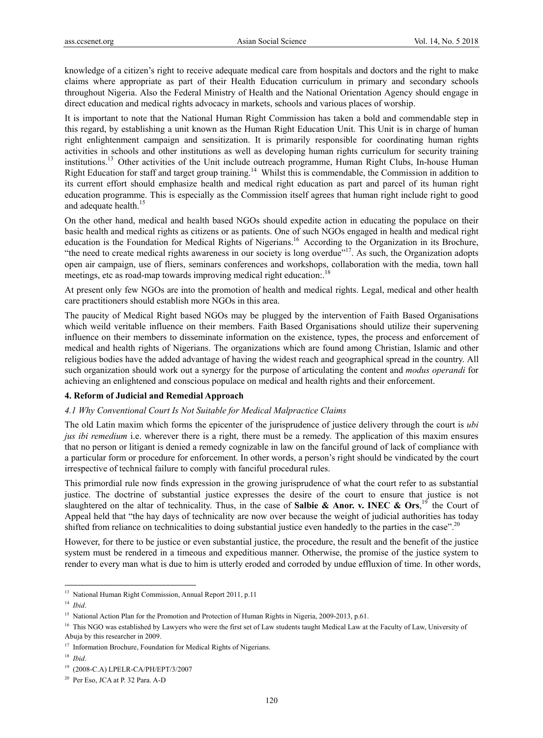knowledge of a citizen's right to receive adequate medical care from hospitals and doctors and the right to make claims where appropriate as part of their Health Education curriculum in primary and secondary schools throughout Nigeria. Also the Federal Ministry of Health and the National Orientation Agency should engage in direct education and medical rights advocacy in markets, schools and various places of worship.

It is important to note that the National Human Right Commission has taken a bold and commendable step in this regard, by establishing a unit known as the Human Right Education Unit. This Unit is in charge of human right enlightenment campaign and sensitization. It is primarily responsible for coordinating human rights activities in schools and other institutions as well as developing human rights curriculum for security training institutions.13 Other activities of the Unit include outreach programme, Human Right Clubs, In-house Human Right Education for staff and target group training.<sup>14</sup> Whilst this is commendable, the Commission in addition to its current effort should emphasize health and medical right education as part and parcel of its human right education programme. This is especially as the Commission itself agrees that human right include right to good and adequate health.<sup>15</sup>

On the other hand, medical and health based NGOs should expedite action in educating the populace on their basic health and medical rights as citizens or as patients. One of such NGOs engaged in health and medical right education is the Foundation for Medical Rights of Nigerians.<sup>16</sup> According to the Organization in its Brochure, "the need to create medical rights awareness in our society is long overdue"<sup>17</sup>. As such, the Organization adopts open air campaign, use of fliers, seminars conferences and workshops, collaboration with the media, town hall meetings, etc as road-map towards improving medical right education:.<sup>18</sup>

At present only few NGOs are into the promotion of health and medical rights. Legal, medical and other health care practitioners should establish more NGOs in this area.

The paucity of Medical Right based NGOs may be plugged by the intervention of Faith Based Organisations which weild veritable influence on their members. Faith Based Organisations should utilize their supervening influence on their members to disseminate information on the existence, types, the process and enforcement of medical and health rights of Nigerians. The organizations which are found among Christian, Islamic and other religious bodies have the added advantage of having the widest reach and geographical spread in the country. All such organization should work out a synergy for the purpose of articulating the content and *modus operandi* for achieving an enlightened and conscious populace on medical and health rights and their enforcement.

## **4. Reform of Judicial and Remedial Approach**

#### *4.1 Why Conventional Court Is Not Suitable for Medical Malpractice Claims*

The old Latin maxim which forms the epicenter of the jurisprudence of justice delivery through the court is *ubi jus ibi remedium* i.e. wherever there is a right, there must be a remedy. The application of this maxim ensures that no person or litigant is denied a remedy cognizable in law on the fanciful ground of lack of compliance with a particular form or procedure for enforcement. In other words, a person's right should be vindicated by the court irrespective of technical failure to comply with fanciful procedural rules.

This primordial rule now finds expression in the growing jurisprudence of what the court refer to as substantial justice. The doctrine of substantial justice expresses the desire of the court to ensure that justice is not slaughtered on the altar of technicality. Thus, in the case of **Salbie & Anor. v. INEC & Ors**,<sup>19</sup> the Court of Appeal held that "the hay days of technicality are now over because the weight of judicial authorities has today shifted from reliance on technicalities to doing substantial justice even handedly to the parties in the case".<sup>20</sup>

However, for there to be justice or even substantial justice, the procedure, the result and the benefit of the justice system must be rendered in a timeous and expeditious manner. Otherwise, the promise of the justice system to render to every man what is due to him is utterly eroded and corroded by undue effluxion of time. In other words,

<sup>&</sup>lt;sup>13</sup> National Human Right Commission, Annual Report 2011, p.11

<sup>14</sup> *Ibid*.

<sup>&</sup>lt;sup>15</sup> National Action Plan for the Promotion and Protection of Human Rights in Nigeria, 2009-2013, p.61.

<sup>&</sup>lt;sup>16</sup> This NGO was established by Lawyers who were the first set of Law students taught Medical Law at the Faculty of Law, University of Abuja by this researcher in 2009.

<sup>&</sup>lt;sup>17</sup> Information Brochure, Foundation for Medical Rights of Nigerians.

<sup>18</sup> *Ibid*.

<sup>19 (2008-</sup>C.A) LPELR-CA/PH/EPT/3/2007

<sup>20</sup> Per Eso, JCA at P. 32 Para. A-D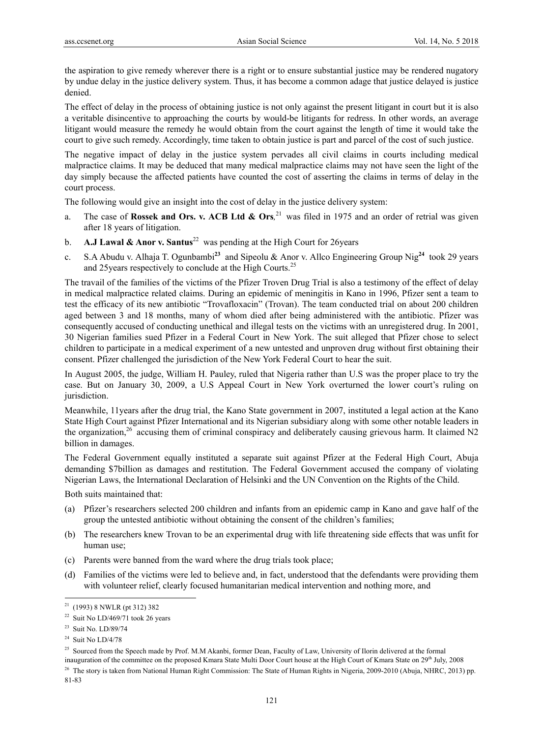the aspiration to give remedy wherever there is a right or to ensure substantial justice may be rendered nugatory by undue delay in the justice delivery system. Thus, it has become a common adage that justice delayed is justice denied.

The effect of delay in the process of obtaining justice is not only against the present litigant in court but it is also a veritable disincentive to approaching the courts by would-be litigants for redress. In other words, an average litigant would measure the remedy he would obtain from the court against the length of time it would take the court to give such remedy. Accordingly, time taken to obtain justice is part and parcel of the cost of such justice.

The negative impact of delay in the justice system pervades all civil claims in courts including medical malpractice claims. It may be deduced that many medical malpractice claims may not have seen the light of the day simply because the affected patients have counted the cost of asserting the claims in terms of delay in the court process.

The following would give an insight into the cost of delay in the justice delivery system:

- a. The case of **Rossek and Ors. v. ACB Ltd & Ors***,* 21 was filed in 1975 and an order of retrial was given after 18 years of litigation.
- b. **A.J Lawal & Anor v. Santus**<sup>22</sup> was pending at the High Court for 26 years
- c. S.A Abudu v. Alhaja T. Ogunbambi**<sup>23</sup>** and Sipeolu & Anor v. Allco Engineering Group Nig**<sup>24</sup>** took 29 years and 25 years respectively to conclude at the High Courts.<sup>25</sup>

The travail of the families of the victims of the Pfizer Troven Drug Trial is also a testimony of the effect of delay in medical malpractice related claims. During an epidemic of meningitis in Kano in 1996, Pfizer sent a team to test the efficacy of its new antibiotic "Trovafloxacin" (Trovan). The team conducted trial on about 200 children aged between 3 and 18 months, many of whom died after being administered with the antibiotic. Pfizer was consequently accused of conducting unethical and illegal tests on the victims with an unregistered drug. In 2001, 30 Nigerian families sued Pfizer in a Federal Court in New York. The suit alleged that Pfizer chose to select children to participate in a medical experiment of a new untested and unproven drug without first obtaining their consent. Pfizer challenged the jurisdiction of the New York Federal Court to hear the suit.

In August 2005, the judge, William H. Pauley, ruled that Nigeria rather than U.S was the proper place to try the case. But on January 30, 2009, a U.S Appeal Court in New York overturned the lower court's ruling on jurisdiction.

Meanwhile, 11years after the drug trial, the Kano State government in 2007, instituted a legal action at the Kano State High Court against Pfizer International and its Nigerian subsidiary along with some other notable leaders in the organization,<sup>26</sup> accusing them of criminal conspiracy and deliberately causing grievous harm. It claimed N2 billion in damages.

The Federal Government equally instituted a separate suit against Pfizer at the Federal High Court, Abuja demanding \$7billion as damages and restitution. The Federal Government accused the company of violating Nigerian Laws, the International Declaration of Helsinki and the UN Convention on the Rights of the Child.

Both suits maintained that:

- (a) Pfizer's researchers selected 200 children and infants from an epidemic camp in Kano and gave half of the group the untested antibiotic without obtaining the consent of the children's families;
- (b) The researchers knew Trovan to be an experimental drug with life threatening side effects that was unfit for human use;
- (c) Parents were banned from the ward where the drug trials took place;
- (d) Families of the victims were led to believe and, in fact, understood that the defendants were providing them with volunteer relief, clearly focused humanitarian medical intervention and nothing more, and

81-83

<sup>21 (1993) 8</sup> NWLR (pt 312) 382

<sup>&</sup>lt;sup>22</sup> Suit No LD/469/71 took 26 years

<sup>23</sup> Suit No. LD/89/74

 $24$  Suit No LD/4/78

<sup>&</sup>lt;sup>25</sup> Sourced from the Speech made by Prof. M.M Akanbi, former Dean, Faculty of Law, University of Ilorin delivered at the formal

inauguration of the committee on the proposed Kmara State Multi Door Court house at the High Court of Kmara State on 29<sup>th</sup> July, 2008 <sup>26</sup> The story is taken from National Human Right Commission: The State of Human Rights in Nigeria, 2009-2010 (Abuja, NHRC, 2013) pp.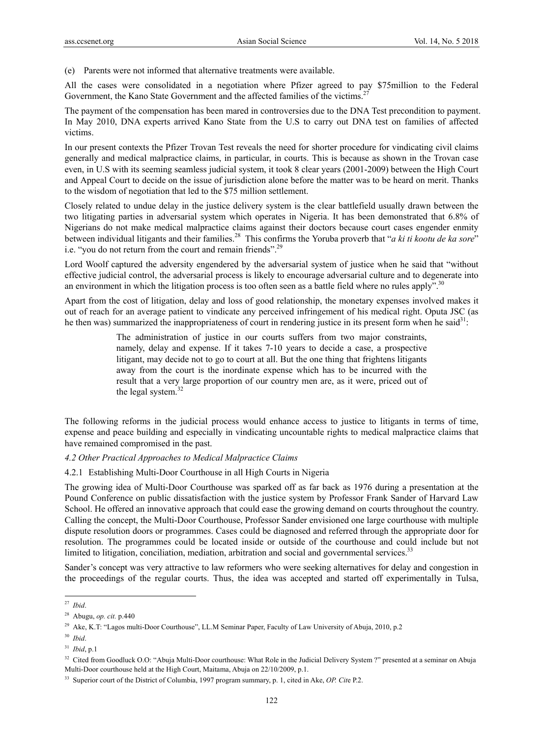(e) Parents were not informed that alternative treatments were available.

All the cases were consolidated in a negotiation where Pfizer agreed to pay \$75million to the Federal Government, the Kano State Government and the affected families of the victims.<sup>27</sup>

The payment of the compensation has been mared in controversies due to the DNA Test precondition to payment. In May 2010, DNA experts arrived Kano State from the U.S to carry out DNA test on families of affected victims.

In our present contexts the Pfizer Trovan Test reveals the need for shorter procedure for vindicating civil claims generally and medical malpractice claims, in particular, in courts. This is because as shown in the Trovan case even, in U.S with its seeming seamless judicial system, it took 8 clear years (2001-2009) between the High Court and Appeal Court to decide on the issue of jurisdiction alone before the matter was to be heard on merit. Thanks to the wisdom of negotiation that led to the \$75 million settlement.

Closely related to undue delay in the justice delivery system is the clear battlefield usually drawn between the two litigating parties in adversarial system which operates in Nigeria. It has been demonstrated that 6.8% of Nigerians do not make medical malpractice claims against their doctors because court cases engender enmity between individual litigants and their families.28 This confirms the Yoruba proverb that "*a ki ti kootu de ka sore*" i.e. "you do not return from the court and remain friends".<sup>29</sup>

Lord Woolf captured the adversity engendered by the adversarial system of justice when he said that "without effective judicial control, the adversarial process is likely to encourage adversarial culture and to degenerate into an environment in which the litigation process is too often seen as a battle field where no rules apply".<sup>30</sup>

Apart from the cost of litigation, delay and loss of good relationship, the monetary expenses involved makes it out of reach for an average patient to vindicate any perceived infringement of his medical right. Oputa JSC (as he then was) summarized the inappropriateness of court in rendering justice in its present form when he said $31$ :

> The administration of justice in our courts suffers from two major constraints, namely, delay and expense. If it takes 7-10 years to decide a case, a prospective litigant, may decide not to go to court at all. But the one thing that frightens litigants away from the court is the inordinate expense which has to be incurred with the result that a very large proportion of our country men are, as it were, priced out of the legal system.<sup>32</sup>

The following reforms in the judicial process would enhance access to justice to litigants in terms of time, expense and peace building and especially in vindicating uncountable rights to medical malpractice claims that have remained compromised in the past.

# *4.2 Other Practical Approaches to Medical Malpractice Claims*

## 4.2.1 Establishing Multi-Door Courthouse in all High Courts in Nigeria

The growing idea of Multi-Door Courthouse was sparked off as far back as 1976 during a presentation at the Pound Conference on public dissatisfaction with the justice system by Professor Frank Sander of Harvard Law School. He offered an innovative approach that could ease the growing demand on courts throughout the country. Calling the concept, the Multi-Door Courthouse, Professor Sander envisioned one large courthouse with multiple dispute resolution doors or programmes. Cases could be diagnosed and referred through the appropriate door for resolution. The programmes could be located inside or outside of the courthouse and could include but not limited to litigation, conciliation, mediation, arbitration and social and governmental services.<sup>33</sup>

Sander's concept was very attractive to law reformers who were seeking alternatives for delay and congestion in the proceedings of the regular courts. Thus, the idea was accepted and started off experimentally in Tulsa,

<sup>27</sup> *Ibid*.

<sup>28</sup> Abugu, *op. cit.* p.440

<sup>&</sup>lt;sup>29</sup> Ake, K.T: "Lagos multi-Door Courthouse", LL.M Seminar Paper, Faculty of Law University of Abuja, 2010, p.2

<sup>30</sup> *Ibid*.

<sup>31</sup> *Ibid*, p.1

<sup>&</sup>lt;sup>32</sup> Cited from Goodluck O.O: "Abuja Multi-Door courthouse: What Role in the Judicial Delivery System ?" presented at a seminar on Abuja Multi-Door courthouse held at the High Court, Maitama, Abuja on 22/10/2009, p.1.

<sup>33</sup> Superior court of the District of Columbia, 1997 program summary, p. 1, cited in Ake, *OP. Cit*e P.2.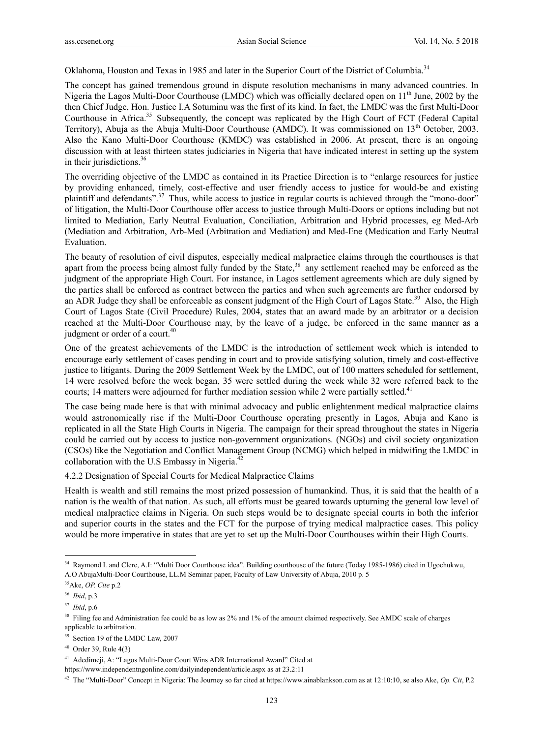Oklahoma, Houston and Texas in 1985 and later in the Superior Court of the District of Columbia.34

The concept has gained tremendous ground in dispute resolution mechanisms in many advanced countries. In Nigeria the Lagos Multi-Door Courthouse (LMDC) which was officially declared open on 11<sup>th</sup> June, 2002 by the then Chief Judge, Hon. Justice I.A Sotuminu was the first of its kind. In fact, the LMDC was the first Multi-Door Courthouse in Africa.<sup>35</sup> Subsequently, the concept was replicated by the High Court of FCT (Federal Capital Territory), Abuja as the Abuja Multi-Door Courthouse (AMDC). It was commissioned on 13<sup>th</sup> October, 2003. Also the Kano Multi-Door Courthouse (KMDC) was established in 2006. At present, there is an ongoing discussion with at least thirteen states judiciaries in Nigeria that have indicated interest in setting up the system in their jurisdictions.<sup>36</sup>

The overriding objective of the LMDC as contained in its Practice Direction is to "enlarge resources for justice by providing enhanced, timely, cost-effective and user friendly access to justice for would-be and existing plaintiff and defendants".<sup>37</sup> Thus, while access to justice in regular courts is achieved through the "mono-door" of litigation, the Multi-Door Courthouse offer access to justice through Multi-Doors or options including but not limited to Mediation, Early Neutral Evaluation, Conciliation, Arbitration and Hybrid processes, eg Med-Arb (Mediation and Arbitration, Arb-Med (Arbitration and Mediation) and Med-Ene (Medication and Early Neutral Evaluation.

The beauty of resolution of civil disputes, especially medical malpractice claims through the courthouses is that apart from the process being almost fully funded by the State,<sup>38</sup> any settlement reached may be enforced as the judgment of the appropriate High Court. For instance, in Lagos settlement agreements which are duly signed by the parties shall be enforced as contract between the parties and when such agreements are further endorsed by an ADR Judge they shall be enforceable as consent judgment of the High Court of Lagos State.<sup>39</sup> Also, the High Court of Lagos State (Civil Procedure) Rules, 2004, states that an award made by an arbitrator or a decision reached at the Multi-Door Courthouse may, by the leave of a judge, be enforced in the same manner as a judgment or order of a court.<sup>40</sup>

One of the greatest achievements of the LMDC is the introduction of settlement week which is intended to encourage early settlement of cases pending in court and to provide satisfying solution, timely and cost-effective justice to litigants. During the 2009 Settlement Week by the LMDC, out of 100 matters scheduled for settlement, 14 were resolved before the week began, 35 were settled during the week while 32 were referred back to the courts; 14 matters were adjourned for further mediation session while 2 were partially settled.<sup>41</sup>

The case being made here is that with minimal advocacy and public enlightenment medical malpractice claims would astronomically rise if the Multi-Door Courthouse operating presently in Lagos, Abuja and Kano is replicated in all the State High Courts in Nigeria. The campaign for their spread throughout the states in Nigeria could be carried out by access to justice non-government organizations. (NGOs) and civil society organization (CSOs) like the Negotiation and Conflict Management Group (NCMG) which helped in midwifing the LMDC in collaboration with the U.S Embassy in Nigeria.<sup>42</sup>

4.2.2 Designation of Special Courts for Medical Malpractice Claims

Health is wealth and still remains the most prized possession of humankind. Thus, it is said that the health of a nation is the wealth of that nation. As such, all efforts must be geared towards upturning the general low level of medical malpractice claims in Nigeria. On such steps would be to designate special courts in both the inferior and superior courts in the states and the FCT for the purpose of trying medical malpractice cases. This policy would be more imperative in states that are yet to set up the Multi-Door Courthouses within their High Courts.

<sup>34</sup> Raymond L and Clere, A.I: "Multi Door Courthouse idea". Building courthouse of the future (Today 1985-1986) cited in Ugochukwu, A.O AbujaMulti-Door Courthouse, LL.M Seminar paper, Faculty of Law University of Abuja, 2010 p. 5

<sup>35</sup>Ake, *OP. Cite* p.2

<sup>36</sup> *Ibid*, p.3

<sup>37</sup> *Ibid*, p.6

<sup>&</sup>lt;sup>38</sup> Filing fee and Administration fee could be as low as 2% and 1% of the amount claimed respectively. See AMDC scale of charges applicable to arbitration.

<sup>&</sup>lt;sup>39</sup> Section 19 of the LMDC Law, 2007

<sup>40</sup> Order 39, Rule 4(3)

<sup>41</sup> Adedimeji, A: "Lagos Multi-Door Court Wins ADR International Award" Cited at

https://www.independentngonline.com/dailyindependent/article.aspx as at 23.2:11

<sup>42</sup> The "Multi-Door" Concept in Nigeria: The Journey so far cited at https://www.ainablankson.com as at 12:10:10, se also Ake, *Op.* C*it*, P.2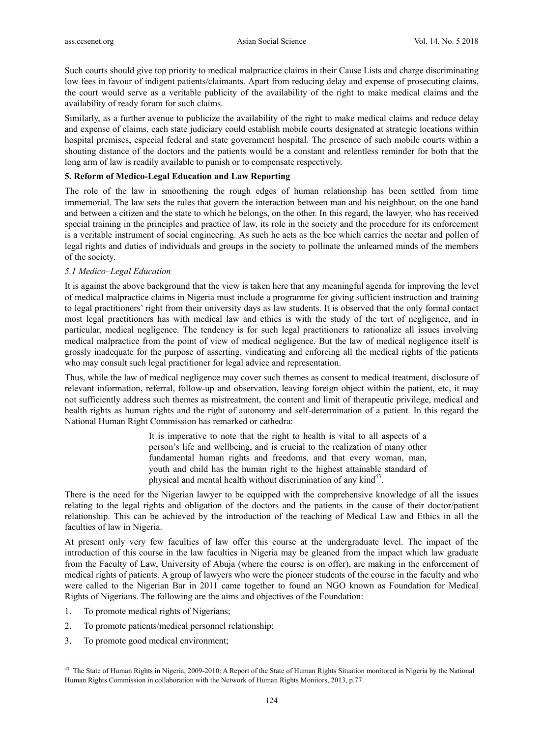Such courts should give top priority to medical malpractice claims in their Cause Lists and charge discriminating low fees in favour of indigent patients/claimants. Apart from reducing delay and expense of prosecuting claims, the court would serve as a veritable publicity of the availability of the right to make medical claims and the availability of ready forum for such claims.

Similarly, as a further avenue to publicize the availability of the right to make medical claims and reduce delay and expense of claims, each state judiciary could establish mobile courts designated at strategic locations within hospital premises, especial federal and state government hospital. The presence of such mobile courts within a shouting distance of the doctors and the patients would be a constant and relentless reminder for both that the long arm of law is readily available to punish or to compensate respectively.

# **5. Reform of Medico-Legal Education and Law Reporting**

The role of the law in smoothening the rough edges of human relationship has been settled from time immemorial. The law sets the rules that govern the interaction between man and his neighbour, on the one hand and between a citizen and the state to which he belongs, on the other. In this regard, the lawyer, who has received special training in the principles and practice of law, its role in the society and the procedure for its enforcement is a veritable instrument of social engineering. As such he acts as the bee which carries the nectar and pollen of legal rights and duties of individuals and groups in the society to pollinate the unlearned minds of the members of the society.

# *5.1 Medico–Legal Education*

It is against the above background that the view is taken here that any meaningful agenda for improving the level of medical malpractice claims in Nigeria must include a programme for giving sufficient instruction and training to legal practitioners' right from their university days as law students. It is observed that the only formal contact most legal practitioners has with medical law and ethics is with the study of the tort of negligence, and in particular, medical negligence. The tendency is for such legal practitioners to rationalize all issues involving medical malpractice from the point of view of medical negligence. But the law of medical negligence itself is grossly inadequate for the purpose of asserting, vindicating and enforcing all the medical rights of the patients who may consult such legal practitioner for legal advice and representation.

Thus, while the law of medical negligence may cover such themes as consent to medical treatment, disclosure of relevant information, referral, follow-up and observation, leaving foreign object within the patient, etc, it may not sufficiently address such themes as mistreatment, the content and limit of therapeutic privilege, medical and health rights as human rights and the right of autonomy and self-determination of a patient. In this regard the National Human Right Commission has remarked or cathedra:

> It is imperative to note that the right to health is vital to all aspects of a person's life and wellbeing, and is crucial to the realization of many other fundamental human rights and freedoms, and that every woman, man, youth and child has the human right to the highest attainable standard of physical and mental health without discrimination of any kind<sup>43</sup>.

There is the need for the Nigerian lawyer to be equipped with the comprehensive knowledge of all the issues relating to the legal rights and obligation of the doctors and the patients in the cause of their doctor/patient relationship. This can be achieved by the introduction of the teaching of Medical Law and Ethics in all the faculties of law in Nigeria.

At present only very few faculties of law offer this course at the undergraduate level. The impact of the introduction of this course in the law faculties in Nigeria may be gleaned from the impact which law graduate from the Faculty of Law, University of Abuja (where the course is on offer), are making in the enforcement of medical rights of patients. A group of lawyers who were the pioneer students of the course in the faculty and who were called to the Nigerian Bar in 2011 came together to found an NGO known as Foundation for Medical Rights of Nigerians. The following are the aims and objectives of the Foundation:

- 1. To promote medical rights of Nigerians;
- 2. To promote patients/medical personnel relationship;
- 3. To promote good medical environment;

<sup>&</sup>lt;sup>43</sup> The State of Human Rights in Nigeria, 2009-2010: A Report of the State of Human Rights Situation monitored in Nigeria by the National Human Rights Commission in collaboration with the Network of Human Rights Monitors, 2013, p.77